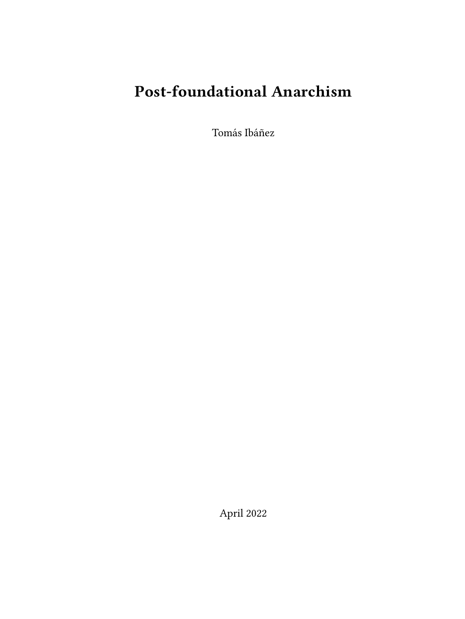# **Post-foundational Anarchism**

Tomás Ibáñez

April 2022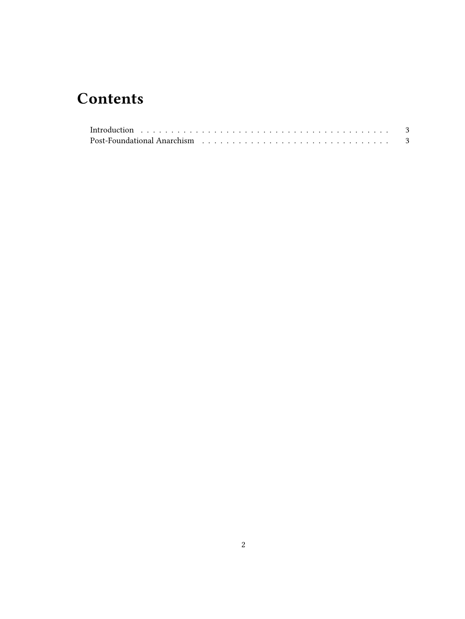# **Contents**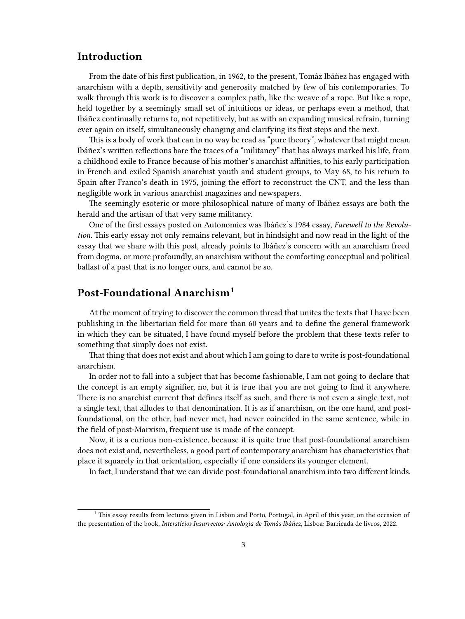## <span id="page-2-0"></span>**Introduction**

From the date of his first publication, in 1962, to the present, Tomáz Ibáñez has engaged with anarchism with a depth, sensitivity and generosity matched by few of his contemporaries. To walk through this work is to discover a complex path, like the weave of a rope. But like a rope, held together by a seemingly small set of intuitions or ideas, or perhaps even a method, that Ibáñez continually returns to, not repetitively, but as with an expanding musical refrain, turning ever again on itself, simultaneously changing and clarifying its first steps and the next.

This is a body of work that can in no way be read as "pure theory", whatever that might mean. Ibáñez's written reflections bare the traces of a "militancy" that has always marked his life, from a childhood exile to France because of his mother's anarchist affinities, to his early participation in French and exiled Spanish anarchist youth and student groups, to May 68, to his return to Spain after Franco's death in 1975, joining the effort to reconstruct the CNT, and the less than negligible work in various anarchist magazines and newspapers.

The seemingly esoteric or more philosophical nature of many of Ibáñez essays are both the herald and the artisan of that very same militancy.

One of the first essays posted on Autonomies was Ibáñez's 1984 essay, *Farewell to the Revolution*. This early essay not only remains relevant, but in hindsight and now read in the light of the essay that we share with this post, already points to Ibáñez's concern with an anarchism freed from dogma, or more profoundly, an anarchism without the comforting conceptual and political ballast of a past that is no longer ours, and cannot be so.

## <span id="page-2-1"></span>**Post-Foundational Anarchism<sup>1</sup>**

At the moment of trying to discover the common thread that unites the texts that I have been publishing in the libertarian field for more than 60 years and to define the general framework in which they can be situated, I have found myself before the problem that these texts refer to something that simply does not exist.

That thing that does not exist and about which I am going to dare to write is post-foundational anarchism.

In order not to fall into a subject that has become fashionable, I am not going to declare that the concept is an empty signifier, no, but it is true that you are not going to find it anywhere. There is no anarchist current that defines itself as such, and there is not even a single text, not a single text, that alludes to that denomination. It is as if anarchism, on the one hand, and postfoundational, on the other, had never met, had never coincided in the same sentence, while in the field of post-Marxism, frequent use is made of the concept.

Now, it is a curious non-existence, because it is quite true that post-foundational anarchism does not exist and, nevertheless, a good part of contemporary anarchism has characteristics that place it squarely in that orientation, especially if one considers its younger element.

In fact, I understand that we can divide post-foundational anarchism into two different kinds.

<sup>&</sup>lt;sup>1</sup> This essay results from lectures given in Lisbon and Porto, Portugal, in April of this year, on the occasion of the presentation of the book, *Interstícios Insurrectos: Antologia de Tomás Ibáñez*, Lisboa: Barricada de livros, 2022.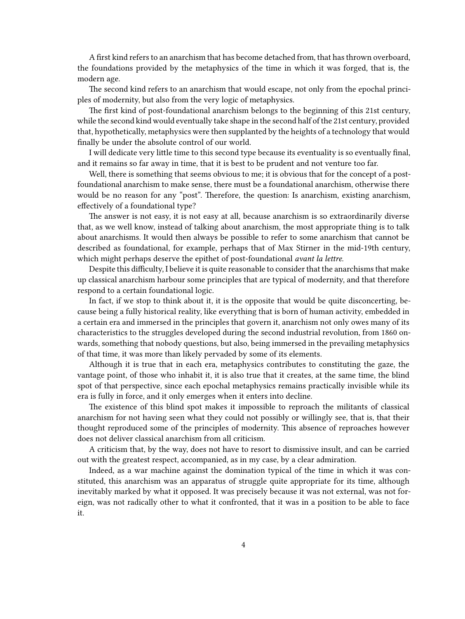A first kind refers to an anarchism that has become detached from, that has thrown overboard, the foundations provided by the metaphysics of the time in which it was forged, that is, the modern age.

The second kind refers to an anarchism that would escape, not only from the epochal principles of modernity, but also from the very logic of metaphysics.

The first kind of post-foundational anarchism belongs to the beginning of this 21st century, while the second kind would eventually take shape in the second half of the 21st century, provided that, hypothetically, metaphysics were then supplanted by the heights of a technology that would finally be under the absolute control of our world.

I will dedicate very little time to this second type because its eventuality is so eventually final, and it remains so far away in time, that it is best to be prudent and not venture too far.

Well, there is something that seems obvious to me; it is obvious that for the concept of a postfoundational anarchism to make sense, there must be a foundational anarchism, otherwise there would be no reason for any "post". Therefore, the question: Is anarchism, existing anarchism, effectively of a foundational type?

The answer is not easy, it is not easy at all, because anarchism is so extraordinarily diverse that, as we well know, instead of talking about anarchism, the most appropriate thing is to talk about anarchisms. It would then always be possible to refer to some anarchism that cannot be described as foundational, for example, perhaps that of Max Stirner in the mid-19th century, which might perhaps deserve the epithet of post-foundational *avant la lettre*.

Despite this difficulty, I believe it is quite reasonable to consider that the anarchisms that make up classical anarchism harbour some principles that are typical of modernity, and that therefore respond to a certain foundational logic.

In fact, if we stop to think about it, it is the opposite that would be quite disconcerting, because being a fully historical reality, like everything that is born of human activity, embedded in a certain era and immersed in the principles that govern it, anarchism not only owes many of its characteristics to the struggles developed during the second industrial revolution, from 1860 onwards, something that nobody questions, but also, being immersed in the prevailing metaphysics of that time, it was more than likely pervaded by some of its elements.

Although it is true that in each era, metaphysics contributes to constituting the gaze, the vantage point, of those who inhabit it, it is also true that it creates, at the same time, the blind spot of that perspective, since each epochal metaphysics remains practically invisible while its era is fully in force, and it only emerges when it enters into decline.

The existence of this blind spot makes it impossible to reproach the militants of classical anarchism for not having seen what they could not possibly or willingly see, that is, that their thought reproduced some of the principles of modernity. This absence of reproaches however does not deliver classical anarchism from all criticism.

A criticism that, by the way, does not have to resort to dismissive insult, and can be carried out with the greatest respect, accompanied, as in my case, by a clear admiration.

Indeed, as a war machine against the domination typical of the time in which it was constituted, this anarchism was an apparatus of struggle quite appropriate for its time, although inevitably marked by what it opposed. It was precisely because it was not external, was not foreign, was not radically other to what it confronted, that it was in a position to be able to face it.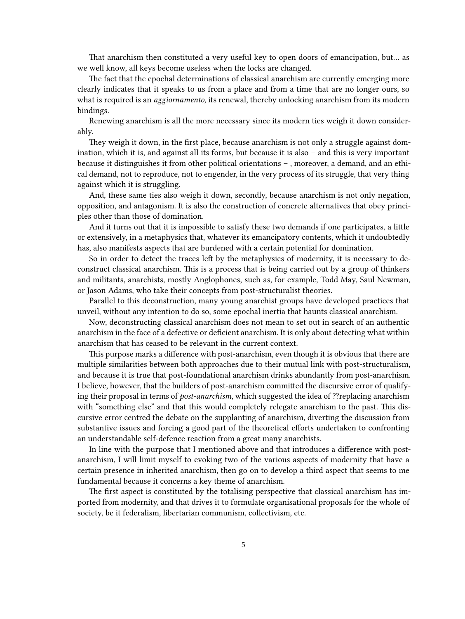That anarchism then constituted a very useful key to open doors of emancipation, but… as we well know, all keys become useless when the locks are changed.

The fact that the epochal determinations of classical anarchism are currently emerging more clearly indicates that it speaks to us from a place and from a time that are no longer ours, so what is required is an *aggiornamento*, its renewal, thereby unlocking anarchism from its modern bindings.

Renewing anarchism is all the more necessary since its modern ties weigh it down considerably.

They weigh it down, in the first place, because anarchism is not only a struggle against domination, which it is, and against all its forms, but because it is also – and this is very important because it distinguishes it from other political orientations – , moreover, a demand, and an ethical demand, not to reproduce, not to engender, in the very process of its struggle, that very thing against which it is struggling.

And, these same ties also weigh it down, secondly, because anarchism is not only negation, opposition, and antagonism. It is also the construction of concrete alternatives that obey principles other than those of domination.

And it turns out that it is impossible to satisfy these two demands if one participates, a little or extensively, in a metaphysics that, whatever its emancipatory contents, which it undoubtedly has, also manifests aspects that are burdened with a certain potential for domination.

So in order to detect the traces left by the metaphysics of modernity, it is necessary to deconstruct classical anarchism. This is a process that is being carried out by a group of thinkers and militants, anarchists, mostly Anglophones, such as, for example, Todd May, Saul Newman, or Jason Adams, who take their concepts from post-structuralist theories.

Parallel to this deconstruction, many young anarchist groups have developed practices that unveil, without any intention to do so, some epochal inertia that haunts classical anarchism.

Now, deconstructing classical anarchism does not mean to set out in search of an authentic anarchism in the face of a defective or deficient anarchism. It is only about detecting what within anarchism that has ceased to be relevant in the current context.

This purpose marks a difference with post-anarchism, even though it is obvious that there are multiple similarities between both approaches due to their mutual link with post-structuralism, and because it is true that post-foundational anarchism drinks abundantly from post-anarchism. I believe, however, that the builders of post-anarchism committed the discursive error of qualifying their proposal in terms of *post-anarchism*, which suggested the idea of ?? replacing anarchism with "something else" and that this would completely relegate anarchism to the past. This discursive error centred the debate on the supplanting of anarchism, diverting the discussion from substantive issues and forcing a good part of the theoretical efforts undertaken to confronting an understandable self-defence reaction from a great many anarchists.

In line with the purpose that I mentioned above and that introduces a difference with postanarchism, I will limit myself to evoking two of the various aspects of modernity that have a certain presence in inherited anarchism, then go on to develop a third aspect that seems to me fundamental because it concerns a key theme of anarchism.

The first aspect is constituted by the totalising perspective that classical anarchism has imported from modernity, and that drives it to formulate organisational proposals for the whole of society, be it federalism, libertarian communism, collectivism, etc.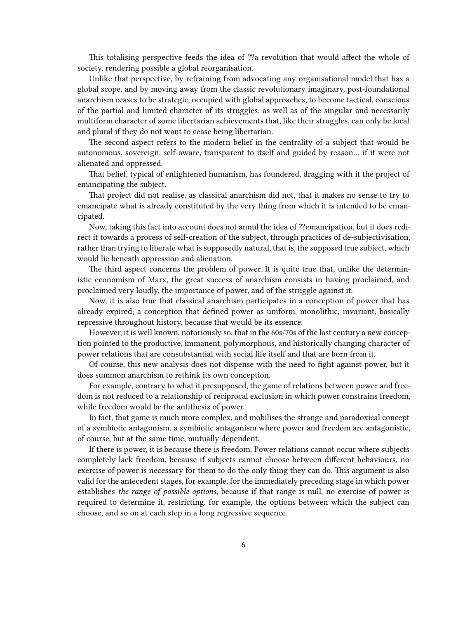This totalising perspective feeds the idea of ??a revolution that would affect the whole of society, rendering possible a global reorganisation.

Unlike that perspective, by refraining from advocating any organisational model that has a global scope, and by moving away from the classic revolutionary imaginary, post-foundational anarchism ceases to be strategic, occupied with global approaches, to become tactical, conscious of the partial and limited character of its struggles, as well as of the singular and necessarily multiform character of some libertarian achievements that, like their struggles, can only be local and plural if they do not want to cease being libertarian.

The second aspect refers to the modern belief in the centrality of a subject that would be autonomous, sovereign, self-aware, transparent to itself and guided by reason… if it were not alienated and oppressed.

That belief, typical of enlightened humanism, has foundered, dragging with it the project of emancipating the subject.

That project did not realise, as classical anarchism did not, that it makes no sense to try to emancipate what is already constituted by the very thing from which it is intended to be emancipated.

Now, taking this fact into account does not annul the idea of ??emancipation, but it does redirect it towards a process of self-creation of the subject, through practices of de-subjectivisation, rather than trying to liberate what is supposedly natural, that is, the supposed true subject, which would lie beneath oppression and alienation.

The third aspect concerns the problem of power. It is quite true that, unlike the deterministic economism of Marx, the great success of anarchism consists in having proclaimed, and proclaimed very loudly, the importance of power, and of the struggle against it.

Now, it is also true that classical anarchism participates in a conception of power that has already expired; a conception that defined power as uniform, monolithic, invariant, basically repressive throughout history, because that would be its essence.

However, it is well known, notoriously so, that in the 60s/70s of the last century a new conception pointed to the productive, immanent, polymorphous, and historically changing character of power relations that are consubstantial with social life itself and that are born from it.

Of course, this new analysis does not dispense with the need to fight against power, but it does summon anarchism to rethink its own conception.

For example, contrary to what it presupposed, the game of relations between power and freedom is not reduced to a relationship of reciprocal exclusion in which power constrains freedom, while freedom would be the antithesis of power.

In fact, that game is much more complex, and mobilises the strange and paradoxical concept of a symbiotic antagonism, a symbiotic antagonism where power and freedom are antagonistic, of course, but at the same time, mutually dependent.

If there is power, it is because there is freedom. Power relations cannot occur where subjects completely lack freedom, because if subjects cannot choose between different behaviours, no exercise of power is necessary for them to do the only thing they can do. This argument is also valid for the antecedent stages, for example, for the immediately preceding stage in which power establishes *the range of possible options*, because if that range is null, no exercise of power is required to determine it, restricting, for example, the options between which the subject can choose, and so on at each step in a long regressive sequence.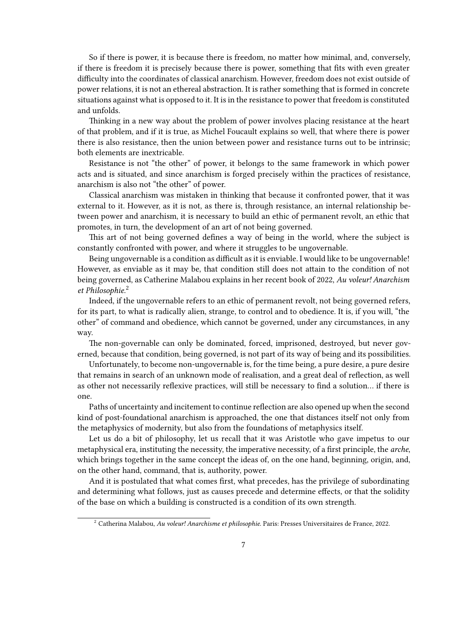So if there is power, it is because there is freedom, no matter how minimal, and, conversely, if there is freedom it is precisely because there is power, something that fits with even greater difficulty into the coordinates of classical anarchism. However, freedom does not exist outside of power relations, it is not an ethereal abstraction. It is rather something that is formed in concrete situations against what is opposed to it. It is in the resistance to power that freedom is constituted and unfolds.

Thinking in a new way about the problem of power involves placing resistance at the heart of that problem, and if it is true, as Michel Foucault explains so well, that where there is power there is also resistance, then the union between power and resistance turns out to be intrinsic; both elements are inextricable.

Resistance is not "the other" of power, it belongs to the same framework in which power acts and is situated, and since anarchism is forged precisely within the practices of resistance, anarchism is also not "the other" of power.

Classical anarchism was mistaken in thinking that because it confronted power, that it was external to it. However, as it is not, as there is, through resistance, an internal relationship between power and anarchism, it is necessary to build an ethic of permanent revolt, an ethic that promotes, in turn, the development of an art of not being governed.

This art of not being governed defines a way of being in the world, where the subject is constantly confronted with power, and where it struggles to be ungovernable.

Being ungovernable is a condition as difficult as it is enviable. I would like to be ungovernable! However, as enviable as it may be, that condition still does not attain to the condition of not being governed, as Catherine Malabou explains in her recent book of 2022, *Au voleur! Anarchism et Philosophie*. 2

Indeed, if the ungovernable refers to an ethic of permanent revolt, not being governed refers, for its part, to what is radically alien, strange, to control and to obedience. It is, if you will, "the other" of command and obedience, which cannot be governed, under any circumstances, in any way.

The non-governable can only be dominated, forced, imprisoned, destroyed, but never governed, because that condition, being governed, is not part of its way of being and its possibilities.

Unfortunately, to become non-ungovernable is, for the time being, a pure desire, a pure desire that remains in search of an unknown mode of realisation, and a great deal of reflection, as well as other not necessarily reflexive practices, will still be necessary to find a solution… if there is one.

Paths of uncertainty and incitement to continue reflection are also opened up when the second kind of post-foundational anarchism is approached, the one that distances itself not only from the metaphysics of modernity, but also from the foundations of metaphysics itself.

Let us do a bit of philosophy, let us recall that it was Aristotle who gave impetus to our metaphysical era, instituting the necessity, the imperative necessity, of a first principle, the *arche*, which brings together in the same concept the ideas of, on the one hand, beginning, origin, and, on the other hand, command, that is, authority, power.

And it is postulated that what comes first, what precedes, has the privilege of subordinating and determining what follows, just as causes precede and determine effects, or that the solidity of the base on which a building is constructed is a condition of its own strength.

<sup>2</sup> Catherina Malabou, *Au voleur! Anarchisme et philosophie*. Paris: Presses Universitaires de France, 2022.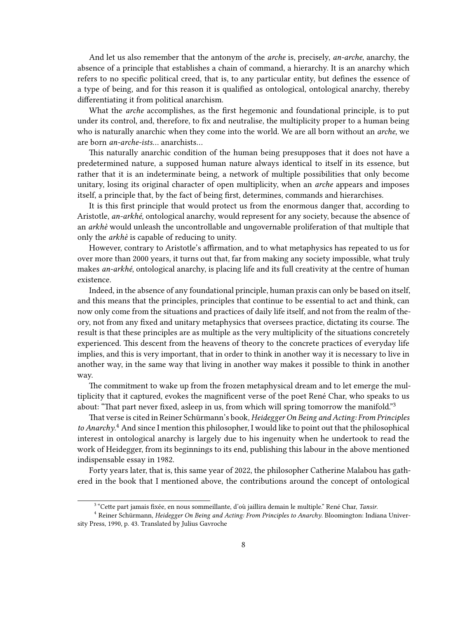And let us also remember that the antonym of the *arche* is, precisely, *an-arche*, anarchy, the absence of a principle that establishes a chain of command, a hierarchy. It is an anarchy which refers to no specific political creed, that is, to any particular entity, but defines the essence of a type of being, and for this reason it is qualified as ontological, ontological anarchy, thereby differentiating it from political anarchism.

What the *arche* accomplishes, as the first hegemonic and foundational principle, is to put under its control, and, therefore, to fix and neutralise, the multiplicity proper to a human being who is naturally anarchic when they come into the world. We are all born without an *arche*, we are born *an-arche-ists*… anarchists…

This naturally anarchic condition of the human being presupposes that it does not have a predetermined nature, a supposed human nature always identical to itself in its essence, but rather that it is an indeterminate being, a network of multiple possibilities that only become unitary, losing its original character of open multiplicity, when an *arche* appears and imposes itself, a principle that, by the fact of being first, determines, commands and hierarchises.

It is this first principle that would protect us from the enormous danger that, according to Aristotle, *an-arkhé*, ontological anarchy, would represent for any society, because the absence of an *arkhè* would unleash the uncontrollable and ungovernable proliferation of that multiple that only the *arkhè* is capable of reducing to unity.

However, contrary to Aristotle's affirmation, and to what metaphysics has repeated to us for over more than 2000 years, it turns out that, far from making any society impossible, what truly makes *an-arkhé*, ontological anarchy, is placing life and its full creativity at the centre of human existence.

Indeed, in the absence of any foundational principle, human praxis can only be based on itself, and this means that the principles, principles that continue to be essential to act and think, can now only come from the situations and practices of daily life itself, and not from the realm of theory, not from any fixed and unitary metaphysics that oversees practice, dictating its course. The result is that these principles are as multiple as the very multiplicity of the situations concretely experienced. This descent from the heavens of theory to the concrete practices of everyday life implies, and this is very important, that in order to think in another way it is necessary to live in another way, in the same way that living in another way makes it possible to think in another way.

The commitment to wake up from the frozen metaphysical dream and to let emerge the multiplicity that it captured, evokes the magnificent verse of the poet René Char, who speaks to us about: "That part never fixed, asleep in us, from which will spring tomorrow the manifold."<sup>3</sup>

That verse is cited in Reiner Schürmann's book, *Heidegger On Being and Acting: From Principles to Anarchy*. <sup>4</sup> And since I mention this philosopher, I would like to point out that the philosophical interest in ontological anarchy is largely due to his ingenuity when he undertook to read the work of Heidegger, from its beginnings to its end, publishing this labour in the above mentioned indispensable essay in 1982.

Forty years later, that is, this same year of 2022, the philosopher Catherine Malabou has gathered in the book that I mentioned above, the contributions around the concept of ontological

<sup>3</sup> "Cette part jamais fixée, en nous sommeillante, d'où jaillira demain le multiple." René Char, *Tansir*.

<sup>4</sup> Reiner Schürmann, *Heidegger On Being and Acting: From Principles to Anarchy*. Bloomington: Indiana University Press, 1990, p. 43. Translated by Julius Gavroche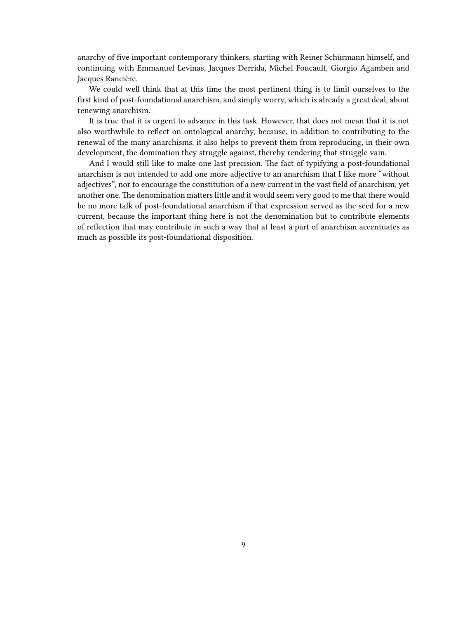anarchy of five important contemporary thinkers, starting with Reiner Schürmann himself, and continuing with Emmanuel Levinas, Jacques Derrida, Michel Foucault, Giorgio Agamben and Jacques Rancière.

We could well think that at this time the most pertinent thing is to limit ourselves to the first kind of post-foundational anarchism, and simply worry, which is already a great deal, about renewing anarchism.

It is true that it is urgent to advance in this task. However, that does not mean that it is not also worthwhile to reflect on ontological anarchy, because, in addition to contributing to the renewal of the many anarchisms, it also helps to prevent them from reproducing, in their own development, the domination they struggle against, thereby rendering that struggle vain.

And I would still like to make one last precision. The fact of typifying a post-foundational anarchism is not intended to add one more adjective to an anarchism that I like more "without adjectives", nor to encourage the constitution of a new current in the vast field of anarchism; yet another one. The denomination matters little and it would seem very good to me that there would be no more talk of post-foundational anarchism if that expression served as the seed for a new current, because the important thing here is not the denomination but to contribute elements of reflection that may contribute in such a way that at least a part of anarchism accentuates as much as possible its post-foundational disposition.